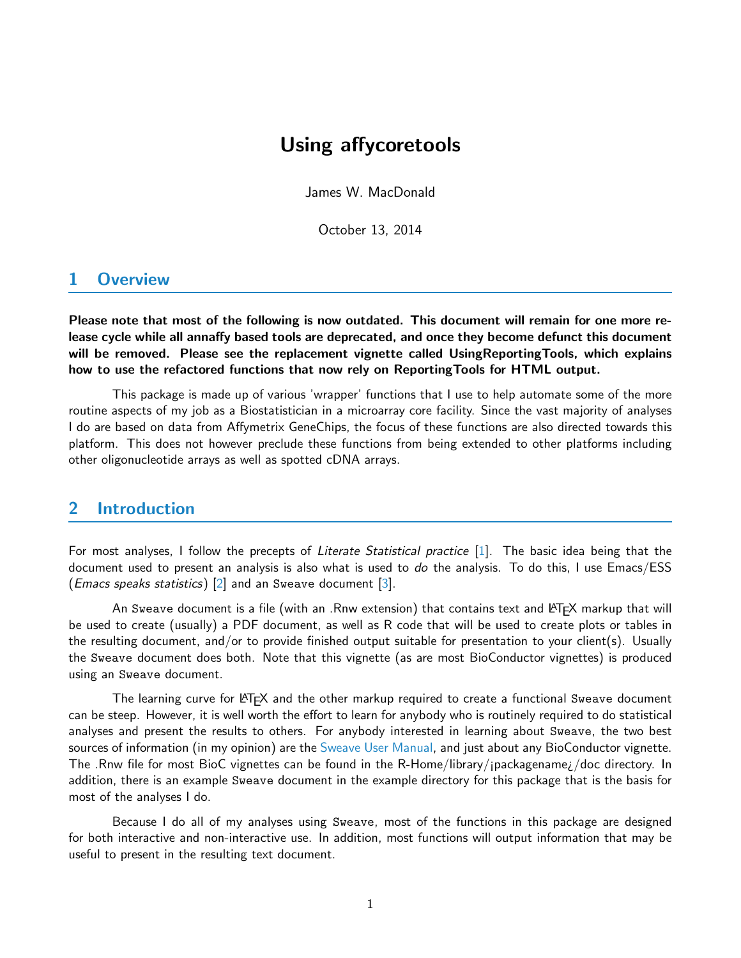# Using affycoretools

James W. MacDonald

October 13, 2014

## 1 Overview

Please note that most of the following is now outdated. This document will remain for one more release cycle while all annaffy based tools are deprecated, and once they become defunct this document will be removed. Please see the replacement vignette called UsingReportingTools, which explains how to use the refactored functions that now rely on ReportingTools for HTML output.

This package is made up of various 'wrapper' functions that I use to help automate some of the more routine aspects of my job as a Biostatistician in a microarray core facility. Since the vast majority of analyses I do are based on data from Affymetrix GeneChips, the focus of these functions are also directed towards this platform. This does not however preclude these functions from being extended to other platforms including other oligonucleotide arrays as well as spotted cDNA arrays.

### 2 Introduction

For most analyses, I follow the precepts of Literate Statistical practice [\[1\]](#page-10-0). The basic idea being that the document used to present an analysis is also what is used to do the analysis. To do this, I use Emacs/ESS (*Emacs speaks statistics*) [\[2\]](#page-10-1) and an Sweave document [\[3\]](#page-10-2).

An Sweave document is a file (with an .Rnw extension) that contains text and LATEX markup that will be used to create (usually) a PDF document, as well as R code that will be used to create plots or tables in the resulting document, and/or to provide finished output suitable for presentation to your client(s). Usually the Sweave document does both. Note that this vignette (as are most BioConductor vignettes) is produced using an Sweave document.

The learning curve for LATEX and the other markup required to create a functional Sweave document can be steep. However, it is well worth the effort to learn for anybody who is routinely required to do statistical analyses and present the results to others. For anybody interested in learning about Sweave, the two best sources of information (in my opinion) are the [Sweave User Manual,](http://www.ci.tuwien.ac.at/~leisch/Sweave) and just about any BioConductor vignette. The .Rnw file for most BioC vignettes can be found in the R-Home/library/¡packagename¿/doc directory. In addition, there is an example Sweave document in the example directory for this package that is the basis for most of the analyses I do.

Because I do all of my analyses using Sweave, most of the functions in this package are designed for both interactive and non-interactive use. In addition, most functions will output information that may be useful to present in the resulting text document.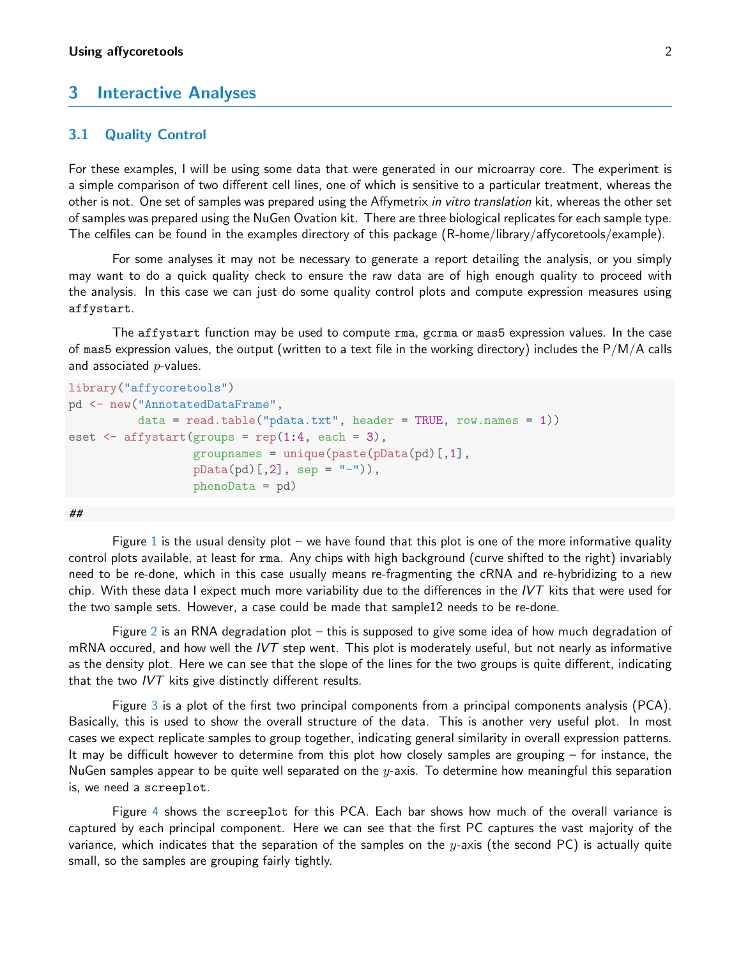### 3 Interactive Analyses

#### 3.1 Quality Control

For these examples, I will be using some data that were generated in our microarray core. The experiment is a simple comparison of two different cell lines, one of which is sensitive to a particular treatment, whereas the other is not. One set of samples was prepared using the Affymetrix in vitro translation kit, whereas the other set of samples was prepared using the NuGen Ovation kit. There are three biological replicates for each sample type. The celfiles can be found in the examples directory of this package (R-home/library/affycoretools/example).

For some analyses it may not be necessary to generate a report detailing the analysis, or you simply may want to do a quick quality check to ensure the raw data are of high enough quality to proceed with the analysis. In this case we can just do some quality control plots and compute expression measures using affystart.

The affystart function may be used to compute rma, gcrma or mas5 expression values. In the case of mas5 expression values, the output (written to a text file in the working directory) includes the  $P/M/A$  calls and associated  $p$ -values.

```
library("affycoretools")
pd <- new("AnnotatedDataFrame",
          data = read.table("pdata.txt", header = TRUE, row.name = 1))eset \leq affystart(groups = rep(1:4, each = 3),
                  groupnames = unique(paste(pData(pd)[,1]),pData(pd)[,2], sep = "-"),
                  phenoData = pd)
```
##

Figure [1](#page-2-0) is the usual density plot – we have found that this plot is one of the more informative quality control plots available, at least for rma. Any chips with high background (curve shifted to the right) invariably need to be re-done, which in this case usually means re-fragmenting the cRNA and re-hybridizing to a new chip. With these data I expect much more variability due to the differences in the IVT kits that were used for the two sample sets. However, a case could be made that sample12 needs to be re-done.

Figure [2](#page-3-0) is an RNA degradation plot – this is supposed to give some idea of how much degradation of mRNA occured, and how well the  $IVT$  step went. This plot is moderately useful, but not nearly as informative as the density plot. Here we can see that the slope of the lines for the two groups is quite different, indicating that the two  $IVT$  kits give distinctly different results.

Figure [3](#page-4-0) is a plot of the first two principal components from a principal components analysis (PCA). Basically, this is used to show the overall structure of the data. This is another very useful plot. In most cases we expect replicate samples to group together, indicating general similarity in overall expression patterns. It may be difficult however to determine from this plot how closely samples are grouping – for instance, the NuGen samples appear to be quite well separated on the  $y$ -axis. To determine how meaningful this separation is, we need a screeplot.

Figure [4](#page-5-0) shows the screeplot for this PCA. Each bar shows how much of the overall variance is captured by each principal component. Here we can see that the first PC captures the vast majority of the variance, which indicates that the separation of the samples on the  $y$ -axis (the second PC) is actually quite small, so the samples are grouping fairly tightly.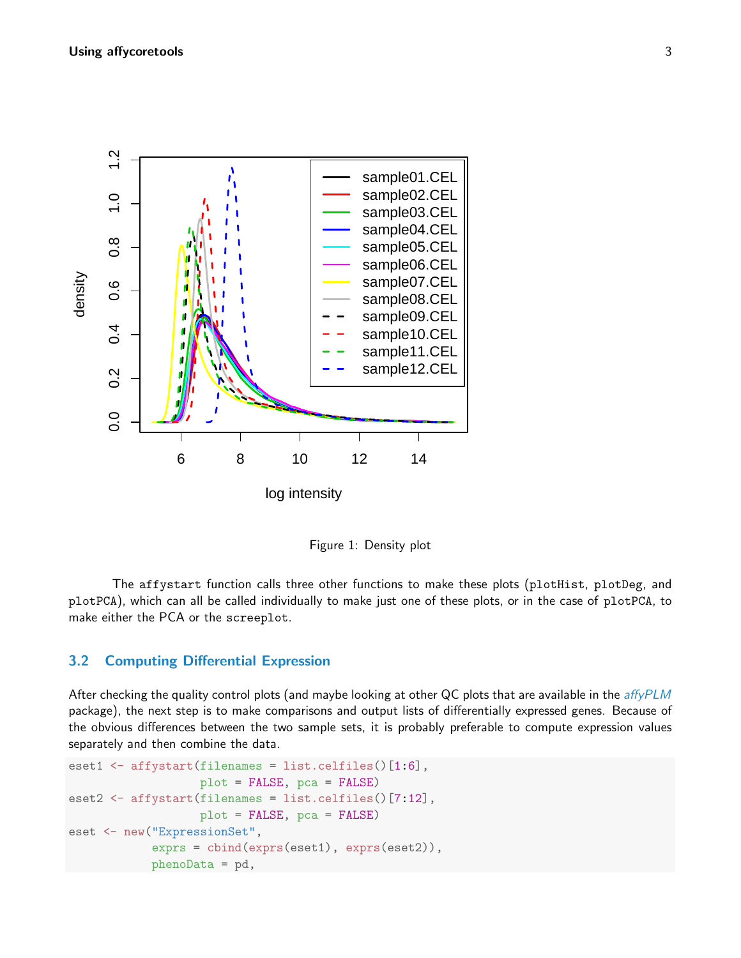

<span id="page-2-0"></span>Figure 1: Density plot

The affystart function calls three other functions to make these plots (plotHist, plotDeg, and plotPCA), which can all be called individually to make just one of these plots, or in the case of plotPCA, to make either the PCA or the screeplot.

#### 3.2 Computing Differential Expression

After checking the quality control plots (and maybe looking at other QC plots that are available in the [affyPLM](http://bioconductor.org/packages/release/bioc/html/affyPLM.html) package), the next step is to make comparisons and output lists of differentially expressed genes. Because of the obvious differences between the two sample sets, it is probably preferable to compute expression values separately and then combine the data.

```
eset1 \leftarrow affystart(filenames = list.celfiles()[1:6],
                   plot = FALSE, pca = FALSE)
eset2 <- affystart(filenames = list.celfiles()[7:12],
                   plot = FALSE, pca = FALSE)
eset <- new("ExpressionSet",
            exprs = cbind(exprs(eset1), exprs(eset2)),
            phenoData = pd,
```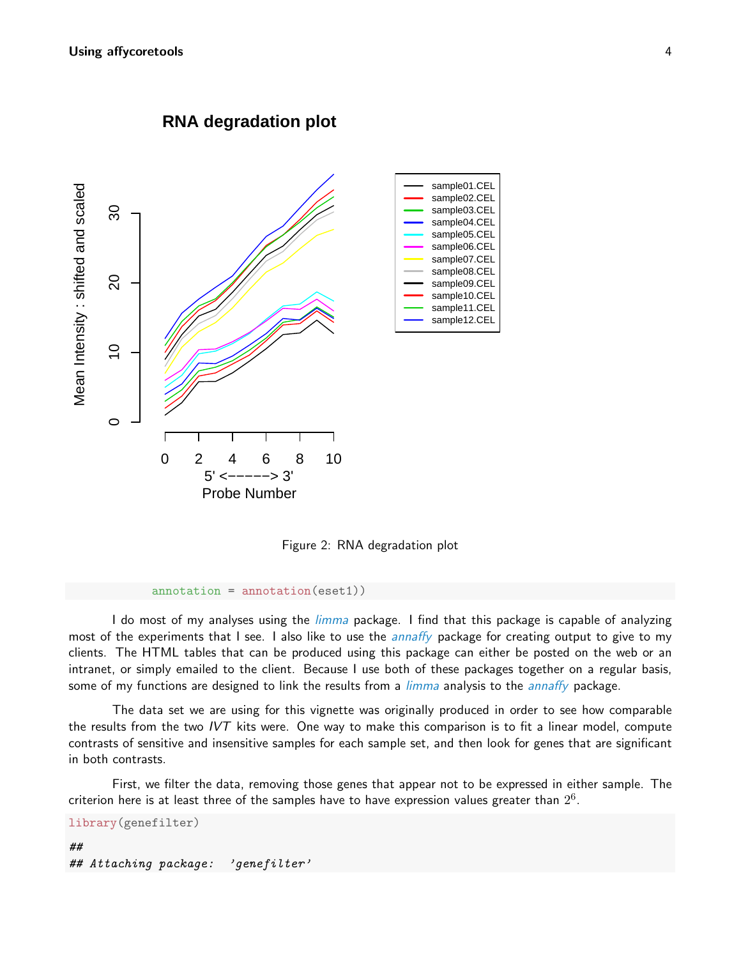

**RNA degradation plot**

<span id="page-3-0"></span>Figure 2: RNA degradation plot

```
annotation = annotation(eset1))
```
I do most of my analyses using the *[limma](http://bioconductor.org/packages/release/bioc/html/limma.html)* package. I find that this package is capable of analyzing most of the experiments that I see. I also like to use the *[annaffy](http://bioconductor.org/packages/release/bioc/html/annaffy.html)* package for creating output to give to my clients. The HTML tables that can be produced using this package can either be posted on the web or an intranet, or simply emailed to the client. Because I use both of these packages together on a regular basis, some of my functions are designed to link the results from a *[limma](http://bioconductor.org/packages/release/bioc/html/limma.html)* analysis to the *[annaffy](http://bioconductor.org/packages/release/bioc/html/annaffy.html)* package.

The data set we are using for this vignette was originally produced in order to see how comparable the results from the two IVT kits were. One way to make this comparison is to fit a linear model, compute contrasts of sensitive and insensitive samples for each sample set, and then look for genes that are significant in both contrasts.

First, we filter the data, removing those genes that appear not to be expressed in either sample. The criterion here is at least three of the samples have to have expression values greater than  $2^6$ .

library(genefilter)

```
##
## Attaching package: 'genefilter'
```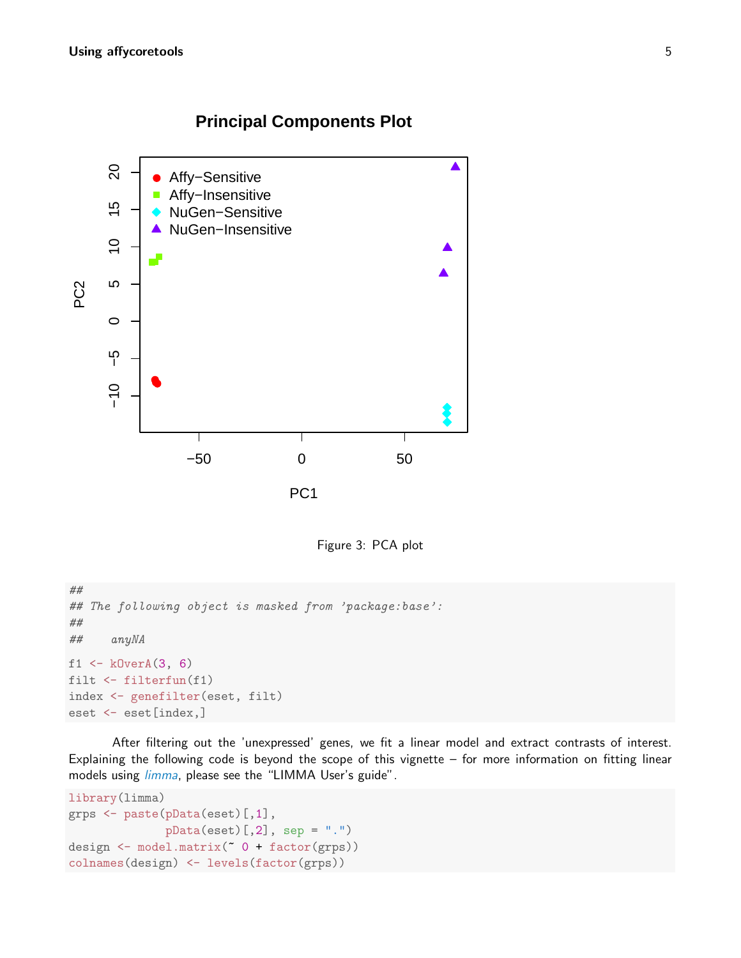# **Principal Components Plot**



<span id="page-4-0"></span>Figure 3: PCA plot

```
##
## The following object is masked from 'package:base':
##
## anyNA
f1 \leftarrow kOverA(3, 6)filt <- filterfun(f1)
index <- genefilter(eset, filt)
eset <- eset[index,]
```
After filtering out the 'unexpressed' genes, we fit a linear model and extract contrasts of interest. Explaining the following code is beyond the scope of this vignette – for more information on fitting linear models using *[limma](http://bioconductor.org/packages/release/bioc/html/limma.html)*, please see the "LIMMA User's guide".

```
library(limma)
grps <- paste(pData(eset)[,1],
               pData(eset)[,2], sep = ".")
design \leftarrow model.matrix(\degree 0 + factor(grps))
colnames(design) <- levels(factor(grps))
```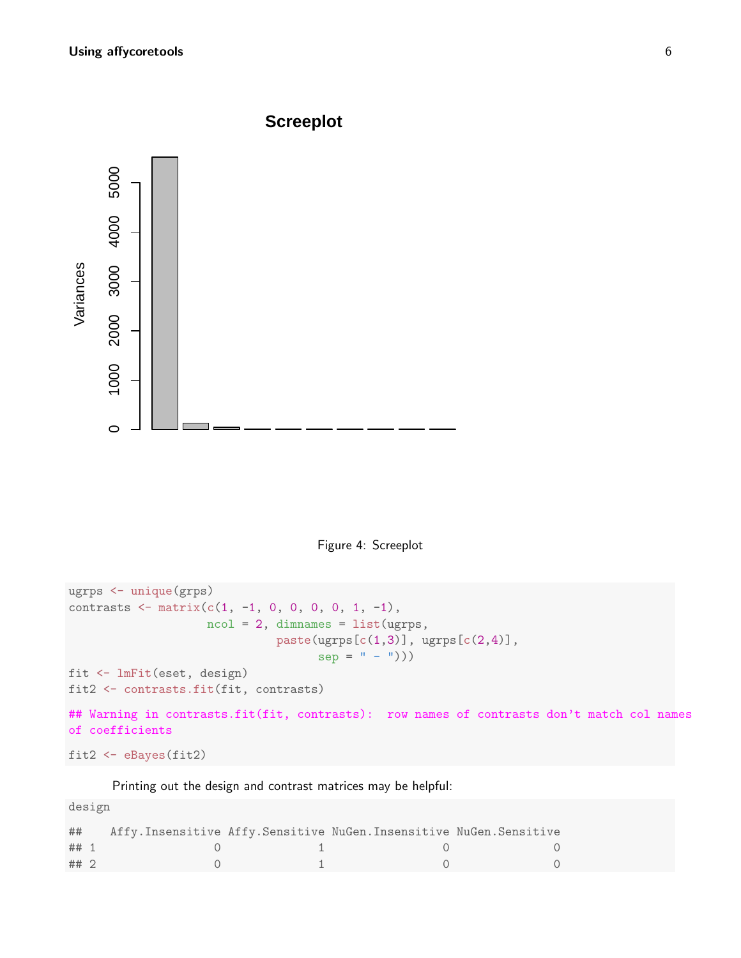

<span id="page-5-0"></span>Figure 4: Screeplot

```
ugrps <- unique(grps)
contrasts \leq matrix(c(1, -1, 0, 0, 0, 0, 1, -1),
                    ncol = 2, dimnames = list(ugrps,
                              paste(ugrps[c(1,3)], ugrps[c(2,4)],
                                    sep = " - ")))
fit <- lmFit(eset, design)
fit2 <- contrasts.fit(fit, contrasts)
## Warning in contrasts.fit(fit, contrasts): row names of contrasts don't match col names
of coefficients
```

```
fit2 <- eBayes(fit2)
```
Printing out the design and contrast matrices may be helpful:

design

| ##   |  | Affy. Insensitive Affy. Sensitive NuGen. Insensitive NuGen. Sensitive |  |
|------|--|-----------------------------------------------------------------------|--|
| ## 1 |  |                                                                       |  |
| ## 2 |  |                                                                       |  |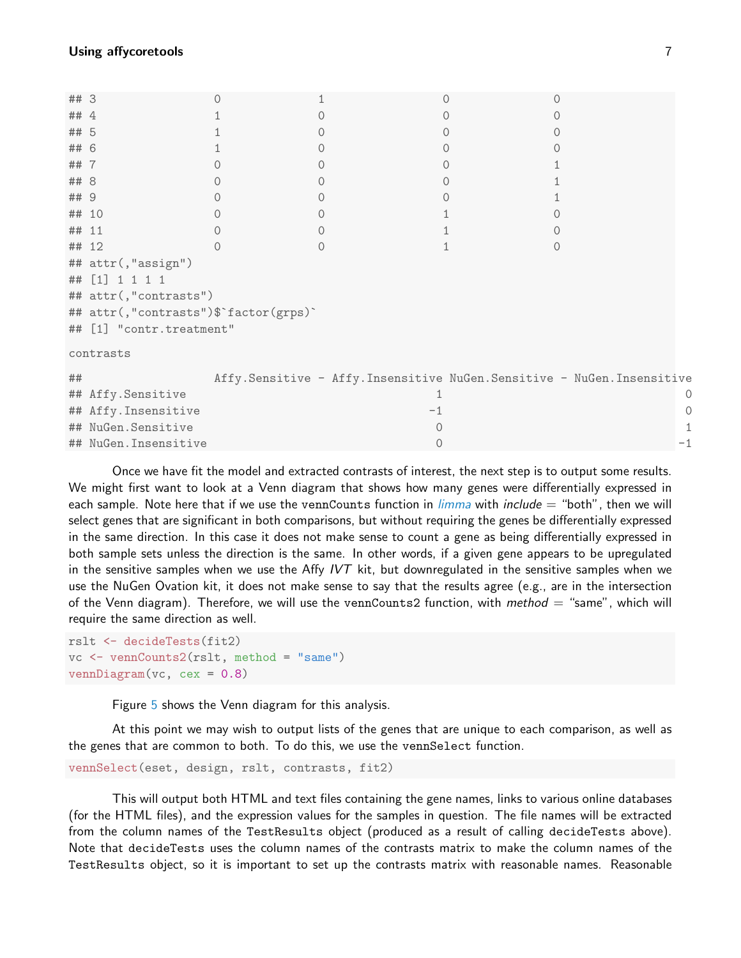| ## 3      |                                       |  |  |  | 0                                                                     |     |  |
|-----------|---------------------------------------|--|--|--|-----------------------------------------------------------------------|-----|--|
| ## 4      |                                       |  |  |  |                                                                       |     |  |
| ## 5      |                                       |  |  |  |                                                                       |     |  |
| ##        | 6                                     |  |  |  |                                                                       |     |  |
| ##        | -7                                    |  |  |  |                                                                       |     |  |
| ## 8      |                                       |  |  |  |                                                                       |     |  |
| ## 9      |                                       |  |  |  |                                                                       |     |  |
| ## 10     |                                       |  |  |  |                                                                       |     |  |
| ##        | -11                                   |  |  |  |                                                                       |     |  |
| ## 12     |                                       |  |  |  | 0                                                                     |     |  |
|           | ## attr(,"assign")                    |  |  |  |                                                                       |     |  |
|           | ## [1] 1 1 1 1                        |  |  |  |                                                                       |     |  |
|           | ## attr(,"contrasts")                 |  |  |  |                                                                       |     |  |
|           | ## attr(,"contrasts")\$`factor(grps)` |  |  |  |                                                                       |     |  |
|           | ## [1] "contr.treatment"              |  |  |  |                                                                       |     |  |
| contrasts |                                       |  |  |  |                                                                       |     |  |
| ##        |                                       |  |  |  | Affy.Sensitive - Affy.Insensitive NuGen.Sensitive - NuGen.Insensitive |     |  |
|           | ## Affy.Sensitive                     |  |  |  |                                                                       |     |  |
|           | ## Affy. Insensitive                  |  |  |  |                                                                       |     |  |
|           | ## NuGen.Sensitive                    |  |  |  |                                                                       |     |  |
|           | ## NuGen. Insensitive                 |  |  |  |                                                                       | - 1 |  |

Once we have fit the model and extracted contrasts of interest, the next step is to output some results. We might first want to look at a Venn diagram that shows how many genes were differentially expressed in each sample. Note here that if we use the vennCounts function in  $\lim_{m}$  with include  $=$  "both", then we will select genes that are significant in both comparisons, but without requiring the genes be differentially expressed in the same direction. In this case it does not make sense to count a gene as being differentially expressed in both sample sets unless the direction is the same. In other words, if a given gene appears to be upregulated in the sensitive samples when we use the Affy IVT kit, but downregulated in the sensitive samples when we use the NuGen Ovation kit, it does not make sense to say that the results agree (e.g., are in the intersection of the Venn diagram). Therefore, we will use the vennCounts2 function, with method  $=$  "same", which will require the same direction as well.

rslt <- decideTests(fit2) vc <- vennCounts2(rslt, method = "same")  $vennDiagram(vc, cex = 0.8)$ 

Figure [5](#page-7-0) shows the Venn diagram for this analysis.

At this point we may wish to output lists of the genes that are unique to each comparison, as well as the genes that are common to both. To do this, we use the vennSelect function.

```
vennSelect(eset, design, rslt, contrasts, fit2)
```
This will output both HTML and text files containing the gene names, links to various online databases (for the HTML files), and the expression values for the samples in question. The file names will be extracted from the column names of the TestResults object (produced as a result of calling decideTests above). Note that decideTests uses the column names of the contrasts matrix to make the column names of the TestResults object, so it is important to set up the contrasts matrix with reasonable names. Reasonable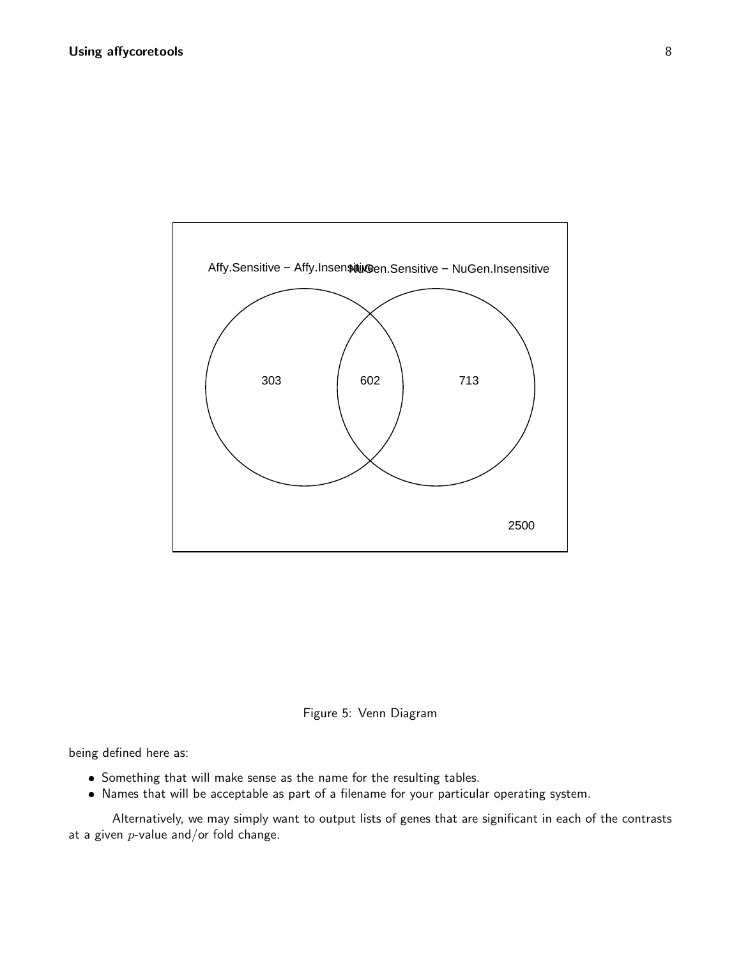

<span id="page-7-0"></span>

being defined here as:

- Something that will make sense as the name for the resulting tables.
- Names that will be acceptable as part of a filename for your particular operating system.

Alternatively, we may simply want to output lists of genes that are significant in each of the contrasts at a given  $p$ -value and/or fold change.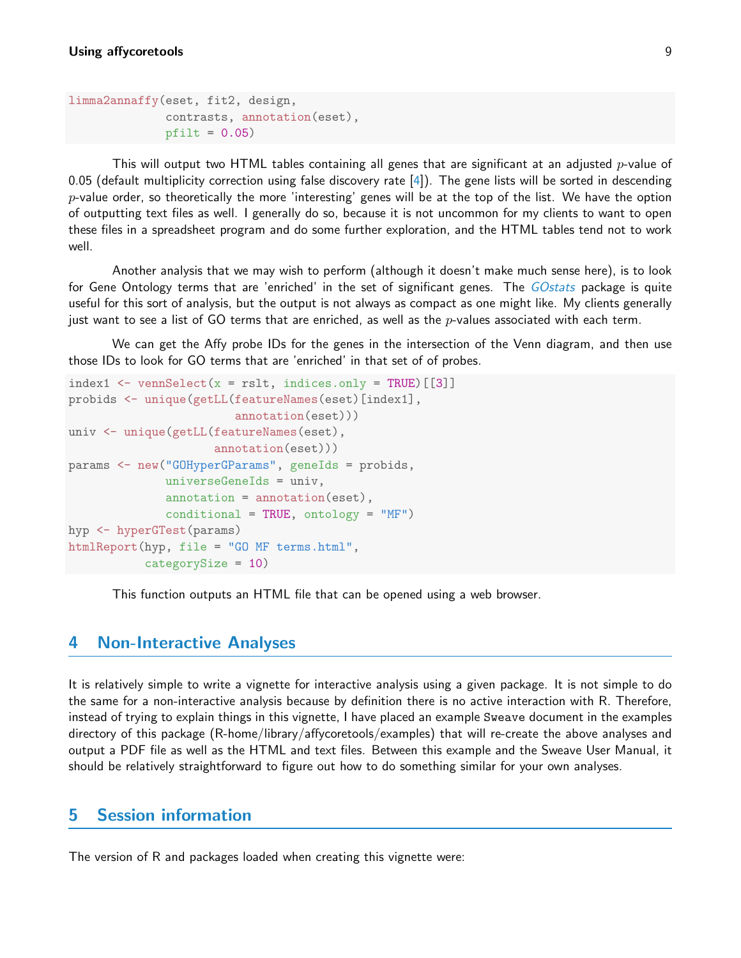```
limma2annaffy(eset, fit2, design,
              contrasts, annotation(eset),
              pfilt = 0.05)
```
This will output two HTML tables containing all genes that are significant at an adjusted  $p$ -value of 0.05 (default multiplicity correction using false discovery rate  $[4]$ ). The gene lists will be sorted in descending  $p$ -value order, so theoretically the more 'interesting' genes will be at the top of the list. We have the option of outputting text files as well. I generally do so, because it is not uncommon for my clients to want to open these files in a spreadsheet program and do some further exploration, and the HTML tables tend not to work well.

Another analysis that we may wish to perform (although it doesn't make much sense here), is to look for Gene Ontology terms that are 'enriched' in the set of significant genes. The *[GOstats](http://bioconductor.org/packages/release/bioc/html/GOstats.html)* package is quite useful for this sort of analysis, but the output is not always as compact as one might like. My clients generally just want to see a list of GO terms that are enriched, as well as the  $p$ -values associated with each term.

We can get the Affy probe IDs for the genes in the intersection of the Venn diagram, and then use those IDs to look for GO terms that are 'enriched' in that set of of probes.

```
index1 \leq vennSelect(x = rslt, indices.only = TRUE) [[3]]
probids <- unique(getLL(featureNames(eset)[index1],
                        annotation(eset)))
univ <- unique(getLL(featureNames(eset),
                     annotation(eset)))
params <- new("GOHyperGParams", geneIds = probids,
              universeGeneIds = univ,
              annotation = annotation(eset),
              conditional = TRUE, ontology = "MF")hyp <- hyperGTest(params)
htmlReport(hyp, file = "GO MF terms.html",
           categorySize = 10)
```
This function outputs an HTML file that can be opened using a web browser.

### 4 Non-Interactive Analyses

It is relatively simple to write a vignette for interactive analysis using a given package. It is not simple to do the same for a non-interactive analysis because by definition there is no active interaction with R. Therefore, instead of trying to explain things in this vignette, I have placed an example Sweave document in the examples directory of this package (R-home/library/affycoretools/examples) that will re-create the above analyses and output a PDF file as well as the HTML and text files. Between this example and the Sweave User Manual, it should be relatively straightforward to figure out how to do something similar for your own analyses.

### 5 Session information

The version of R and packages loaded when creating this vignette were: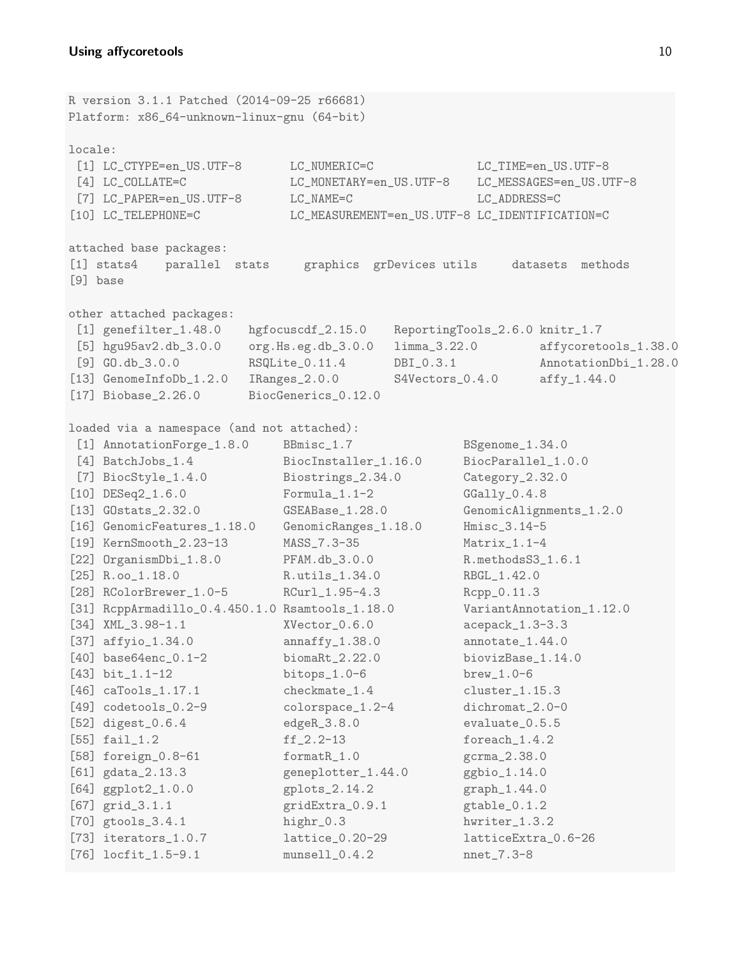R version 3.1.1 Patched (2014-09-25 r66681) Platform: x86\_64-unknown-linux-gnu (64-bit) locale: [1] LC\_CTYPE=en\_US.UTF-8 LC\_NUMERIC=C LC\_TIME=en\_US.UTF-8 [4] LC\_COLLATE=C LC\_MONETARY=en\_US.UTF-8 LC\_MESSAGES=en\_US.UTF-8 [7] LC\_PAPER=en\_US.UTF-8 LC\_NAME=C LC\_ADDRESS=C [10] LC\_TELEPHONE=C LC\_MEASUREMENT=en\_US.UTF-8 LC\_IDENTIFICATION=C attached base packages: [1] stats4 parallel stats graphics grDevices utils datasets methods [9] base other attached packages: [1] genefilter\_1.48.0 hgfocuscdf\_2.15.0 ReportingTools\_2.6.0 knitr\_1.7 [5] hgu95av2.db\_3.0.0 org.Hs.eg.db\_3.0.0 limma\_3.22.0 affycoretools\_1.38.0 [9] GO.db\_3.0.0 RSQLite\_0.11.4 DBI\_0.3.1 AnnotationDbi\_1.28.0 [13] GenomeInfoDb\_1.2.0 IRanges\_2.0.0 S4Vectors\_0.4.0 affy\_1.44.0 [17] Biobase\_2.26.0 BiocGenerics\_0.12.0 loaded via a namespace (and not attached): [1] AnnotationForge\_1.8.0 BBmisc\_1.7 BSgenome\_1.34.0 [4] BatchJobs\_1.4 BiocInstaller\_1.16.0 BiocParallel\_1.0.0 [7] BiocStyle\_1.4.0 Biostrings\_2.34.0 Category\_2.32.0 [10] DESeq2\_1.6.0 Formula\_1.1-2 GGally\_0.4.8 [13] GOstats\_2.32.0 GSEABase\_1.28.0 GenomicAlignments\_1.2.0 [16] GenomicFeatures\_1.18.0 GenomicRanges\_1.18.0 Hmisc\_3.14-5 [19] KernSmooth\_2.23-13 MASS\_7.3-35 Matrix\_1.1-4 [22] OrganismDbi\_1.8.0 PFAM.db\_3.0.0 R.methodsS3\_1.6.1 [25] R.oo\_1.18.0 R.utils\_1.34.0 RBGL\_1.42.0 [28] RColorBrewer\_1.0-5 RCurl\_1.95-4.3 Rcpp\_0.11.3 [31] RcppArmadillo\_0.4.450.1.0 Rsamtools\_1.18.0 VariantAnnotation\_1.12.0 [34] XML\_3.98-1.1 XVector\_0.6.0 acepack\_1.3-3.3 [37] affyio\_1.34.0 annaffy\_1.38.0 annotate\_1.44.0 [40] base64enc\_0.1-2 biomaRt\_2.22.0 biovizBase\_1.14.0 [43] bit\_1.1-12 bitops\_1.0-6 brew\_1.0-6 [46] caTools\_1.17.1 checkmate\_1.4 cluster\_1.15.3 [49] codetools\_0.2-9 colorspace\_1.2-4 dichromat\_2.0-0 [52] digest\_0.6.4 edgeR\_3.8.0 evaluate\_0.5.5 [55] fail\_1.2 ff\_2.2-13 foreach\_1.4.2 [58] foreign\_0.8-61 formatR\_1.0 gcrma\_2.38.0 [61] gdata\_2.13.3 geneplotter\_1.44.0 ggbio\_1.14.0 [64] ggplot2\_1.0.0 gplots\_2.14.2 graph\_1.44.0 [67] grid\_3.1.1 <br>gridExtra\_0.9.1 <br>gtable\_0.1.2 [70] gtools\_3.4.1 highr\_0.3 hwriter\_1.3.2 [73] iterators\_1.0.7 lattice\_0.20-29 latticeExtra\_0.6-26 [76] locfit\_1.5-9.1 munsell\_0.4.2 nnet\_7.3-8